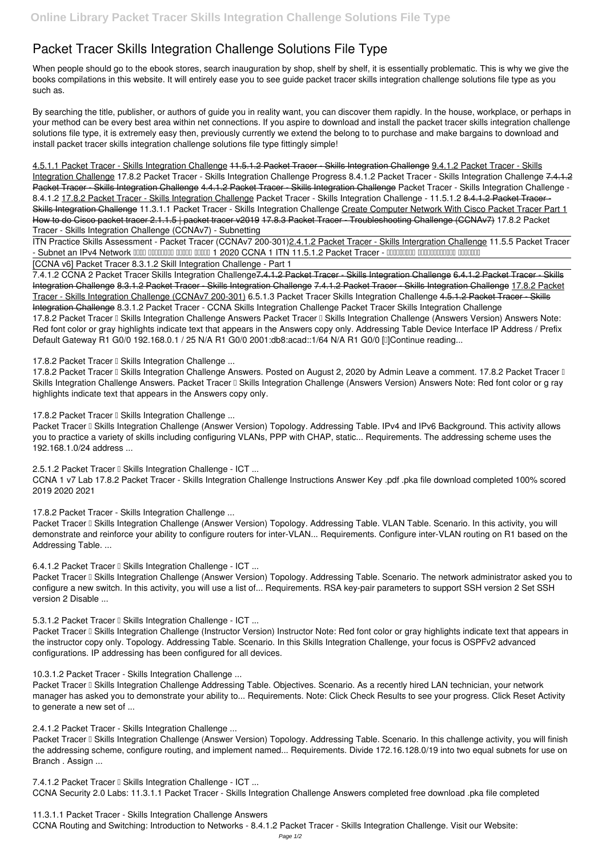## **Packet Tracer Skills Integration Challenge Solutions File Type**

When people should go to the ebook stores, search inauguration by shop, shelf by shelf, it is essentially problematic. This is why we give the books compilations in this website. It will entirely ease you to see guide **packet tracer skills integration challenge solutions file type** as you such as.

By searching the title, publisher, or authors of guide you in reality want, you can discover them rapidly. In the house, workplace, or perhaps in your method can be every best area within net connections. If you aspire to download and install the packet tracer skills integration challenge solutions file type, it is extremely easy then, previously currently we extend the belong to to purchase and make bargains to download and install packet tracer skills integration challenge solutions file type fittingly simple!

ITN Practice Skills Assessment - Packet Tracer (CCNAv7 200-301)2.4.1.2 Packet Tracer - Skills Intergration Challenge *11.5.5 Packet Tracer* **- Subnet an IPv4 Network** 0000 0000000 00000 00000 1 2020 CCNA 1 ITN 11.5.1.2 Packet Tracer - 000000000 000000000 0000000

4.5.1.1 Packet Tracer - Skills Integration Challenge 11.5.1.2 Packet Tracer - Skills Integration Challenge 9.4.1.2 Packet Tracer - Skills Integration Challenge **17.8.2 Packet Tracer - Skills Integration Challenge Progress** *8.4.1.2 Packet Tracer - Skills Integration Challenge* 7.4.1.2 Packet Tracer Skills Integration Challenge 4.4.1.2 Packet Tracer Skills Integration Challenge Packet Tracer - Skills Integration Challenge -8.4.1.2 17.8.2 Packet Tracer - Skills Integration Challenge *Packet Tracer - Skills Integration Challenge - 11.5.1.2* 8.4.1.2 Packet Tracer - Skills Integration Challenge *11.3.1.1 Packet Tracer - Skills Integration Challenge* Create Computer Network With Cisco Packet Tracer Part 1 How to do Cisco packet tracer 2.1.1.5 | packet tracer v2019 17.8.3 Packet Tracer - Troubleshooting Challenge (CCNAv7) *17.8.2 Packet Tracer - Skills Integration Challenge (CCNAv7) - Subnetting*

17.8.2 Packet Tracer II Skills Integration Challenge Answers. Posted on August 2, 2020 by Admin Leave a comment. 17.8.2 Packet Tracer II Skills Integration Challenge Answers. Packet Tracer II Skills Integration Challenge (Answers Version) Answers Note: Red font color or g ray highlights indicate text that appears in the Answers copy only.

17.8.2 Packet Tracer <sup>[]</sup> Skills Integration Challenge ...

Packet Tracer I Skills Integration Challenge (Answer Version) Topology. Addressing Table. IPv4 and IPv6 Background. This activity allows you to practice a variety of skills including configuring VLANs, PPP with CHAP, static... Requirements. The addressing scheme uses the 192.168.1.0/24 address ...

**2.5.1.2 Packet Tracer I Skills Integration Challenge - ICT ...** 

[CCNA v6] Packet Tracer 8.3.1.2 Skill Integration Challenge - Part 1

7.4.1.2 CCNA 2 Packet Tracer Skills Integration Challenge 7.4.1.2 Packet Tracer - Skills Integration Challenge 6.4.1.2 Packet Tracer - Skills Integration Challenge 8.3.1.2 Packet Tracer - Skills Integration Challenge 7.4.1.2 Packet Tracer - Skills Integration Challenge 17.8.2 Packet Tracer - Skills Integration Challenge (CCNAv7 200-301) *6.5.1.3 Packet Tracer Skills Integration Challenge* 4.5.1.2 Packet Tracer - Skills Integration Challenge **8.3.1.2 Packet Tracer - CCNA Skills Integration Challenge** *Packet Tracer Skills Integration Challenge* 17.8.2 Packet Tracer II Skills Integration Challenge Answers Packet Tracer II Skills Integration Challenge (Answers Version) Answers Note: Red font color or gray highlights indicate text that appears in the Answers copy only. Addressing Table Device Interface IP Address / Prefix Default Gateway R1 G0/0 192.168.0.1 / 25 N/A R1 G0/0 2001:db8:acad::1/64 N/A R1 G0/0 [I]Continue reading...

## 17.8.2 Packet Tracer <sup>[]</sup> Skills Integration Challenge ...

Packet Tracer I Skills Integration Challenge (Answer Version) Topology. Addressing Table. VLAN Table. Scenario. In this activity, you will demonstrate and reinforce your ability to configure routers for inter-VLAN... Requirements. Configure inter-VLAN routing on R1 based on the Addressing Table. ...

**6.4.1.2 Packet Tracer I Skills Integration Challenge - ICT ...** 

Packet Tracer I Skills Integration Challenge (Answer Version) Topology. Addressing Table. Scenario. The network administrator asked you to configure a new switch. In this activity, you will use a list of... Requirements. RSA key-pair parameters to support SSH version 2 Set SSH version 2 Disable ...

5.3.1.2 Packet Tracer **F** Skills Integration Challenge - ICT ...

Packet Tracer I Skills Integration Challenge (Instructor Version) Instructor Note: Red font color or gray highlights indicate text that appears in the instructor copy only. Topology. Addressing Table. Scenario. In this Skills Integration Challenge, your focus is OSPFv2 advanced

Packet Tracer I Skills Integration Challenge Addressing Table. Objectives. Scenario. As a recently hired LAN technician, your network manager has asked you to demonstrate your ability to... Requirements. Note: Click Check Results to see your progress. Click Reset Activity to generate a new set of ...

Packet Tracer I Skills Integration Challenge (Answer Version) Topology. Addressing Table. Scenario. In this challenge activity, you will finish the addressing scheme, configure routing, and implement named... Requirements. Divide 172.16.128.0/19 into two equal subnets for use on Branch . Assign ...

*7.4.1.2 Packet Tracer I Skills Integration Challenge - ICT ...* 

CCNA 1 v7 Lab 17.8.2 Packet Tracer - Skills Integration Challenge Instructions Answer Key .pdf .pka file download completed 100% scored 2019 2020 2021

*17.8.2 Packet Tracer - Skills Integration Challenge ...*

configurations. IP addressing has been configured for all devices.

*10.3.1.2 Packet Tracer - Skills Integration Challenge ...*

*2.4.1.2 Packet Tracer - Skills Integration Challenge ...*

CCNA Security 2.0 Labs: 11.3.1.1 Packet Tracer - Skills Integration Challenge Answers completed free download .pka file completed

*11.3.1.1 Packet Tracer - Skills Integration Challenge Answers* CCNA Routing and Switching: Introduction to Networks - 8.4.1.2 Packet Tracer - Skills Integration Challenge. Visit our Website: